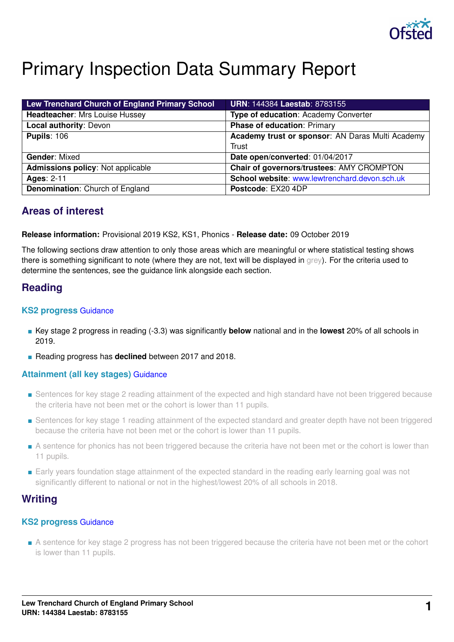

# Primary Inspection Data Summary Report

| Lew Trenchard Church of England Primary School | <b>URN: 144384 Laestab: 8783155</b>              |
|------------------------------------------------|--------------------------------------------------|
| <b>Headteacher: Mrs Louise Hussey</b>          | Type of education: Academy Converter             |
| Local authority: Devon                         | <b>Phase of education: Primary</b>               |
| <b>Pupils: 106</b>                             | Academy trust or sponsor: AN Daras Multi Academy |
|                                                | Trust                                            |
| <b>Gender: Mixed</b>                           | Date open/converted: 01/04/2017                  |
| <b>Admissions policy: Not applicable</b>       | Chair of governors/trustees: AMY CROMPTON        |
| <b>Ages: 2-11</b>                              | School website: www.lewtrenchard.devon.sch.uk    |
| Denomination: Church of England                | Postcode: EX20 4DP                               |

# **Areas of interest**

#### **Release information:** Provisional 2019 KS2, KS1, Phonics - **Release date:** 09 October 2019

The following sections draw attention to only those areas which are meaningful or where statistical testing shows there is something significant to note (where they are not, text will be displayed in grey). For the criteria used to determine the sentences, see the guidance link alongside each section.

# **Reading**

#### **KS2 progress** [Guidance](https://www.gov.uk/guidance/school-inspection-data-summary-report-idsr-guide#key-stage-2-progress-reading-writing-and-mathematics)

- Key stage 2 progress in reading (-3.3) was significantly **below** national and in the **lowest** 20% of all schools in 2019.
- Reading progress has **declined** between 2017 and 2018.

#### **Attainment (all key stages)** [Guidance](https://www.gov.uk/guidance/school-inspection-data-summary-report-idsr-guide#attainment-reading-writing-and-mathematics)

- Sentences for key stage 2 reading attainment of the expected and high standard have not been triggered because the criteria have not been met or the cohort is lower than 11 pupils.
- Sentences for key stage 1 reading attainment of the expected standard and greater depth have not been triggered because the criteria have not been met or the cohort is lower than 11 pupils.
- A sentence for phonics has not been triggered because the criteria have not been met or the cohort is lower than 11 pupils.
- Early years foundation stage attainment of the expected standard in the reading early learning goal was not significantly different to national or not in the highest/lowest 20% of all schools in 2018.

# **Writing**

### **KS2 progress** [Guidance](https://www.gov.uk/guidance/school-inspection-data-summary-report-idsr-guide#key-stage-2-progress-reading-writing-and-mathematics)

■ A sentence for key stage 2 progress has not been triggered because the criteria have not been met or the cohort is lower than 11 pupils.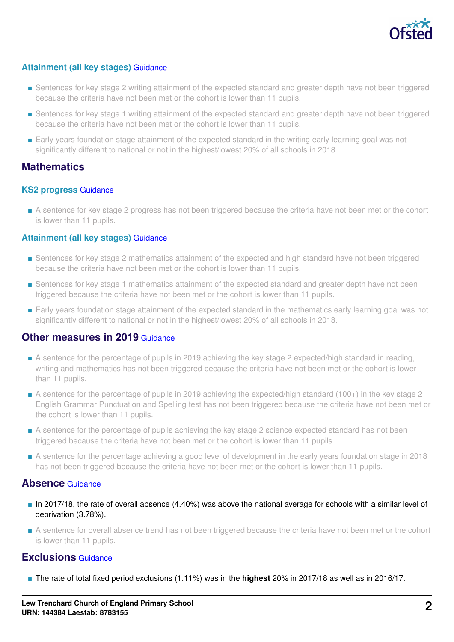

# **Attainment (all key stages)** [Guidance](https://www.gov.uk/guidance/school-inspection-data-summary-report-idsr-guide#attainment-reading-writing-and-mathematics)

- Sentences for key stage 2 writing attainment of the expected standard and greater depth have not been triggered because the criteria have not been met or the cohort is lower than 11 pupils.
- Sentences for key stage 1 writing attainment of the expected standard and greater depth have not been triggered because the criteria have not been met or the cohort is lower than 11 pupils.
- Early years foundation stage attainment of the expected standard in the writing early learning goal was not significantly different to national or not in the highest/lowest 20% of all schools in 2018.

# **Mathematics**

#### **KS2 progress** [Guidance](https://www.gov.uk/guidance/school-inspection-data-summary-report-idsr-guide#key-stage-2-progress-reading-writing-and-mathematics)

■ A sentence for key stage 2 progress has not been triggered because the criteria have not been met or the cohort is lower than 11 pupils.

#### **Attainment (all key stages)** [Guidance](https://www.gov.uk/guidance/school-inspection-data-summary-report-idsr-guide#attainment-reading-writing-and-mathematics)

- Sentences for key stage 2 mathematics attainment of the expected and high standard have not been triggered because the criteria have not been met or the cohort is lower than 11 pupils.
- Sentences for key stage 1 mathematics attainment of the expected standard and greater depth have not been triggered because the criteria have not been met or the cohort is lower than 11 pupils.
- Early years foundation stage attainment of the expected standard in the mathematics early learning goal was not significantly different to national or not in the highest/lowest 20% of all schools in 2018.

# **Other measures in 2019 [Guidance](https://www.gov.uk/guidance/school-inspection-data-summary-report-idsr-guide#other-measures)**

- A sentence for the percentage of pupils in 2019 achieving the key stage 2 expected/high standard in reading, writing and mathematics has not been triggered because the criteria have not been met or the cohort is lower than 11 pupils.
- A sentence for the percentage of pupils in 2019 achieving the expected/high standard (100+) in the key stage 2 English Grammar Punctuation and Spelling test has not been triggered because the criteria have not been met or the cohort is lower than 11 pupils.
- A sentence for the percentage of pupils achieving the key stage 2 science expected standard has not been triggered because the criteria have not been met or the cohort is lower than 11 pupils.
- A sentence for the percentage achieving a good level of development in the early years foundation stage in 2018 has not been triggered because the criteria have not been met or the cohort is lower than 11 pupils.

# **Absence** [Guidance](https://www.gov.uk/guidance/school-inspection-data-summary-report-idsr-guide#absence)

- In 2017/18, the rate of overall absence (4.40%) was above the national average for schools with a similar level of deprivation (3.78%).
- A sentence for overall absence trend has not been triggered because the criteria have not been met or the cohort is lower than 11 pupils.

# **Exclusions** [Guidance](https://www.gov.uk/guidance/school-inspection-data-summary-report-idsr-guide#exclusions)

■ The rate of total fixed period exclusions (1.11%) was in the **highest** 20% in 2017/18 as well as in 2016/17.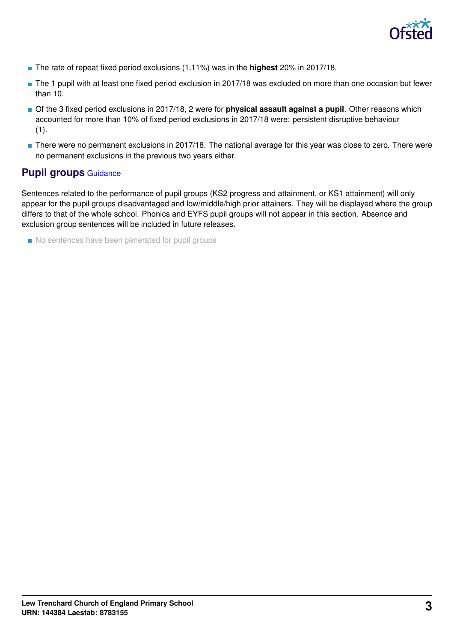

- The rate of repeat fixed period exclusions (1.11%) was in the **highest** 20% in 2017/18.
- The 1 pupil with at least one fixed period exclusion in 2017/18 was excluded on more than one occasion but fewer than 10.
- Of the 3 fixed period exclusions in 2017/18, 2 were for **physical assault against a pupil**. Other reasons which accounted for more than 10% of fixed period exclusions in 2017/18 were: persistent disruptive behaviour (1).
- There were no permanent exclusions in 2017/18. The national average for this year was close to zero. There were no permanent exclusions in the previous two years either.

# **Pupil groups** [Guidance](https://www.gov.uk/guidance/school-inspection-data-summary-report-idsr-guide#pupil-groups)

Sentences related to the performance of pupil groups (KS2 progress and attainment, or KS1 attainment) will only appear for the pupil groups disadvantaged and low/middle/high prior attainers. They will be displayed where the group differs to that of the whole school. Phonics and EYFS pupil groups will not appear in this section. Absence and exclusion group sentences will be included in future releases.

■ No sentences have been generated for pupil groups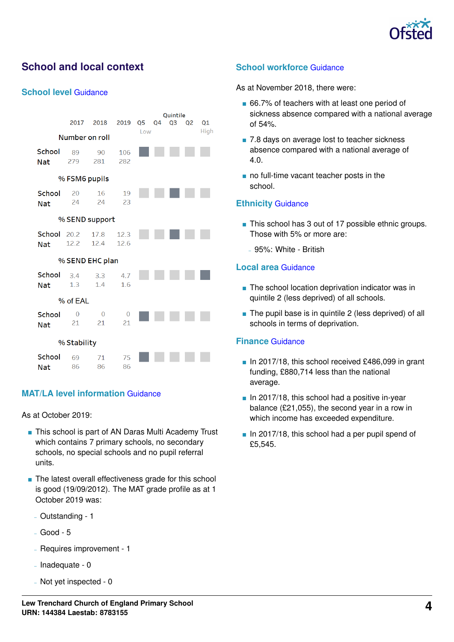

# **School and local context**

#### **School level** [Guidance](https://www.gov.uk/guidance/school-inspection-data-summary-report-idsr-guide#school-level)

|                           | 2017                 | 2018                 | 2019                 | Q <sub>5</sub> | Q1 |  |  |  |  |  |
|---------------------------|----------------------|----------------------|----------------------|----------------|----|--|--|--|--|--|
| Number on roll            |                      | High                 |                      |                |    |  |  |  |  |  |
| School                    |                      |                      |                      |                |    |  |  |  |  |  |
| <b>Nat</b>                | 89<br>279            | 90<br>281            | 106<br>282           |                |    |  |  |  |  |  |
| % FSM6 pupils             |                      |                      |                      |                |    |  |  |  |  |  |
| School<br><b>Nat</b>      | 20<br>24             | 16<br>24             | 19<br>23             |                |    |  |  |  |  |  |
|                           | % SEND support       |                      |                      |                |    |  |  |  |  |  |
| School 20.2<br><b>Nat</b> | 12.2                 | 17.8<br>12.4         | 12.3<br>12.6         |                |    |  |  |  |  |  |
|                           | % SEND EHC plan      |                      |                      |                |    |  |  |  |  |  |
| School<br><b>Nat</b>      | 3.4<br>1.3           | 3.3<br>1.4           | 4.7<br>1.6           |                |    |  |  |  |  |  |
|                           | % of EAL             |                      |                      |                |    |  |  |  |  |  |
| School<br><b>Nat</b>      | $\overline{0}$<br>21 | $\overline{0}$<br>21 | $\overline{O}$<br>21 |                |    |  |  |  |  |  |
|                           | % Stability          |                      |                      |                |    |  |  |  |  |  |
| School<br>Nat             | 69<br>86             | 71<br>86             | 75<br>86             |                |    |  |  |  |  |  |

### **MAT/LA level information** [Guidance](https://www.gov.uk/guidance/school-inspection-data-summary-report-idsr-guide#multi-academy)

As at October 2019:

- This school is part of AN Daras Multi Academy Trust which contains 7 primary schools, no secondary schools, no special schools and no pupil referral units.
- The latest overall effectiveness grade for this school is good (19/09/2012). The MAT grade profile as at 1 October 2019 was:
	- Outstanding 1
	- Good 5
	- Requires improvement 1
	- $-$  Inadequate 0
	- Not yet inspected 0

## **School workforce** [Guidance](https://www.gov.uk/guidance/school-inspection-data-summary-report-idsr-guide#school-workforce)

As at November 2018, there were:

- 66.7% of teachers with at least one period of sickness absence compared with a national average of 54%.
- 7.8 days on average lost to teacher sickness absence compared with a national average of 4.0.
- no full-time vacant teacher posts in the school.

#### **Ethnicity** [Guidance](https://www.gov.uk/guidance/school-inspection-data-summary-report-idsr-guide#ethnicity)

- This school has 3 out of 17 possible ethnic groups. Those with 5% or more are:
	- 95%: White British

#### **Local area** [Guidance](https://www.gov.uk/guidance/school-inspection-data-summary-report-idsr-guide#local-area)

- The school location deprivation indicator was in quintile 2 (less deprived) of all schools.
- The pupil base is in quintile 2 (less deprived) of all schools in terms of deprivation.

#### **Finance** [Guidance](https://www.gov.uk/guidance/school-inspection-data-summary-report-idsr-guide#finance)

- In 2017/18, this school received £486,099 in grant funding, £880,714 less than the national average.
- In 2017/18, this school had a positive in-year balance (£21,055), the second year in a row in which income has exceeded expenditure.
- $\blacksquare$  In 2017/18, this school had a per pupil spend of £5,545.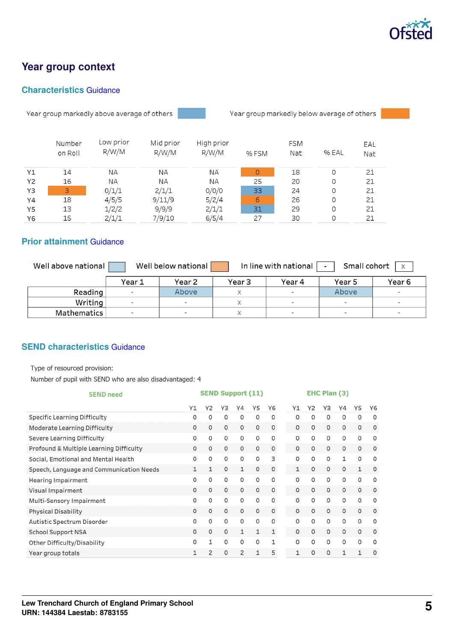

# **Year group context**

# **Characteristics** [Guidance](https://www.gov.uk/guidance/school-inspection-data-summary-report-idsr-guide#characteristics)

Year group markedly above average of others



Year group markedly below average of others |

|    | Number  | Low prior | Mid prior | High prior |         | <b>FSM</b> |       | EAL        |  |  |
|----|---------|-----------|-----------|------------|---------|------------|-------|------------|--|--|
|    | on Roll | R/W/M     | R/W/M     | R/W/M      | % FSM   | <b>Nat</b> | % EAL | <b>Nat</b> |  |  |
| Y1 | 14      | ΝA        | <b>NA</b> | <b>NA</b>  | $\circ$ | 18         | 0     | 21         |  |  |
| Y2 | 16      | ΝA        | <b>NA</b> | <b>NA</b>  | 25      | 20         | 0     | 21         |  |  |
| Y3 | 3       | 0/1/1     | 2/1/1     | O/O/O      | 33      | 24         | 0     | 21         |  |  |
| Y4 | 18      | 4/5/5     | 9/11/9    | 5/2/4      | 6       | 26         | 0     | 21         |  |  |
| Y5 | 13      | 1/2/2     | 9/9/9     | 2/1/1      | 31      | 29         | 0     | 21         |  |  |
| Y6 | 15      | 2/1/1     | 7/9/10    | 6/5/4      | 27      | 30         | 0     | 21         |  |  |

# **Prior attainment** [Guidance](https://www.gov.uk/guidance/school-inspection-data-summary-report-idsr-guide#prior-attainment)

| Well above national | Small cohort<br>In line with national<br>Well below national<br>$\mathbf{x}$<br>$\sim$ |                          |        |        |                          |                   |  |  |  |
|---------------------|----------------------------------------------------------------------------------------|--------------------------|--------|--------|--------------------------|-------------------|--|--|--|
|                     | Year 1                                                                                 | Year 2                   | Year 3 | Year 4 | Year 5                   | Year <sub>6</sub> |  |  |  |
| Reading             |                                                                                        | Above                    |        | $\sim$ | Above                    |                   |  |  |  |
| Writing             |                                                                                        | <b>COL</b>               |        | $\sim$ | $\sim$                   | $\sim$            |  |  |  |
| <b>Mathematics</b>  |                                                                                        | $\overline{\phantom{a}}$ |        | $\sim$ | $\overline{\phantom{a}}$ | $\sim$            |  |  |  |

# **SEND characteristics** [Guidance](https://www.gov.uk/guidance/school-inspection-data-summary-report-idsr-guide#send)

Type of resourced provision:

Number of pupil with SEND who are also disadvantaged: 4

| <b>SEND need</b>                         | <b>SEND Support (11)</b> |    |              |              |          | EHC Plan (3) |              |              |          |              |              |                |
|------------------------------------------|--------------------------|----|--------------|--------------|----------|--------------|--------------|--------------|----------|--------------|--------------|----------------|
|                                          | Υ1                       | Y2 | Y3           | Υ4           | Y5       | Y6           | Υ1           | Υ2           | Y3       | Υ4           | Y5           | Y <sub>6</sub> |
| <b>Specific Learning Difficulty</b>      | 0                        | O  | $\mathbf 0$  | $\Omega$     | 0        | O            | O            | 0            | 0        | O            | $\Omega$     | O              |
| <b>Moderate Learning Difficulty</b>      | $\mathbf{O}$             | 0  | $\mathbf 0$  | $\mathbf{0}$ | O        | $\mathbf 0$  | $\mathbf 0$  | $\mathbf 0$  | 0        | $\mathbf{O}$ | $\mathbf 0$  | $\mathbf 0$    |
| <b>Severe Learning Difficulty</b>        | 0                        | 0  | $\Omega$     | $\mathbf 0$  | 0        | $\mathbf 0$  | 0            | $\Omega$     | 0        | $\Omega$     | 0            | $\mathbf 0$    |
| Profound & Multiple Learning Difficulty  | $\Omega$                 | 0  | $\mathbf 0$  | $\mathbf{0}$ | $\Omega$ | $\mathbf 0$  | $\Omega$     | $\Omega$     | $\Omega$ | $\Omega$     | $\mathbf{0}$ | $\mathbf 0$    |
| Social, Emotional and Mental Health      | 0                        | 0  | $\Omega$     | $\mathbf 0$  | 0        | 3            | O            | 0            | 0        | 1            | $\mathbf 0$  | 0              |
| Speech, Language and Communication Needs | $\mathbf{1}$             | 1  | $\mathbf 0$  | $\mathbf{1}$ | 0        | $\mathbf{0}$ | $\mathbf{1}$ | $\mathbf{0}$ | 0        | $\mathbf{O}$ | 1            | 0              |
| <b>Hearing Impairment</b>                | 0                        | 0  | $\mathbf 0$  | 0            | 0        | 0            | O            | 0            | 0        | $\mathbf 0$  | $\Omega$     | 0              |
| Visual Impairment                        | O                        | 0  | $\mathbf{0}$ | $\mathbf{O}$ | o        | $\mathbf 0$  | $\mathbf{O}$ | 0            | 0        | $\mathbf{O}$ | $\mathbf 0$  | 0              |
| Multi-Sensory Impairment                 | 0                        | 0  | $\mathbf 0$  | 0            | 0        | 0            | $\Omega$     | 0            | 0        | $\mathbf 0$  | $\mathbf 0$  | 0              |
| <b>Physical Disability</b>               | $\Omega$                 | 0  | $\mathbf 0$  | $\mathbf{0}$ | 0        | $\mathbf 0$  | $\mathbf{0}$ | 0            | 0        | $\mathbf 0$  | $\mathbf{0}$ | $\mathbf 0$    |
| Autistic Spectrum Disorder               | 0                        | 0  | $\mathbf 0$  | $\mathbf 0$  | 0        | 0            | 0            | 0            | 0        | $\mathbf 0$  | $\mathbf 0$  | 0              |
| <b>School Support NSA</b>                | 0                        | 0  | $\mathbf 0$  | $\mathbf{1}$ | 1        | 1            | 0            | $\mathbf{O}$ | 0        | $\mathbf 0$  | $\mathbf{0}$ | $\mathbf 0$    |
| Other Difficulty/Disability              | 0                        | 1  | $\mathbf 0$  | $\mathbf 0$  | $\Omega$ | 1            | 0            | 0            | 0        | $\mathbf 0$  | $\mathbf 0$  | $\mathbf 0$    |
| Year group totals                        | 1                        | 2  | $\Omega$     | 2            | 1        | 5            | 1            | o            | 0        | $\mathbf{1}$ | 1            | $\Omega$       |